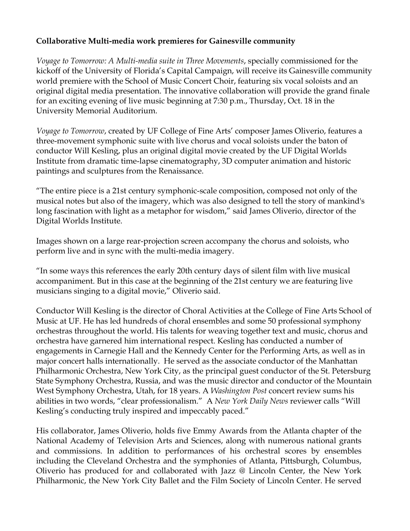## **Collaborative Multi-media work premieres for Gainesville community**

*Voyage to Tomorrow: A Multi-media suite in Three Movements*, specially commissioned for the kickoff of the University of Florida's Capital Campaign, will receive its Gainesville community world premiere with the School of Music Concert Choir, featuring six vocal soloists and an original digital media presentation. The innovative collaboration will provide the grand finale for an exciting evening of live music beginning at 7:30 p.m., Thursday, Oct. 18 in the University Memorial Auditorium.

*Voyage to Tomorrow*, created by UF College of Fine Arts' composer James Oliverio, features a three-movement symphonic suite with live chorus and vocal soloists under the baton of conductor Will Kesling, plus an original digital movie created by the UF Digital Worlds Institute from dramatic time-lapse cinematography, 3D computer animation and historic paintings and sculptures from the Renaissance.

"The entire piece is a 21st century symphonic-scale composition, composed not only of the musical notes but also of the imagery, which was also designed to tell the story of mankind's long fascination with light as a metaphor for wisdom," said James Oliverio, director of the Digital Worlds Institute.

Images shown on a large rear-projection screen accompany the chorus and soloists, who perform live and in sync with the multi-media imagery.

"In some ways this references the early 20th century days of silent film with live musical accompaniment. But in this case at the beginning of the 21st century we are featuring live musicians singing to a digital movie," Oliverio said.

Conductor Will Kesling is the director of Choral Activities at the College of Fine Arts School of Music at UF. He has led hundreds of choral ensembles and some 50 professional symphony orchestras throughout the world. His talents for weaving together text and music, chorus and orchestra have garnered him international respect. Kesling has conducted a number of engagements in Carnegie Hall and the Kennedy Center for the Performing Arts, as well as in major concert halls internationally. He served as the associate conductor of the Manhattan Philharmonic Orchestra, New York City, as the principal guest conductor of the St. Petersburg State Symphony Orchestra, Russia, and was the music director and conductor of the Mountain West Symphony Orchestra, Utah, for 18 years. A *Washington Post* concert review sums his abilities in two words, "clear professionalism." A *New York Daily News* reviewer calls "Will Kesling's conducting truly inspired and impeccably paced."

His collaborator, James Oliverio, holds five Emmy Awards from the Atlanta chapter of the National Academy of Television Arts and Sciences, along with numerous national grants and commissions. In addition to performances of his orchestral scores by ensembles including the Cleveland Orchestra and the symphonies of Atlanta, Pittsburgh, Columbus, Oliverio has produced for and collaborated with Jazz @ Lincoln Center, the New York Philharmonic, the New York City Ballet and the Film Society of Lincoln Center. He served